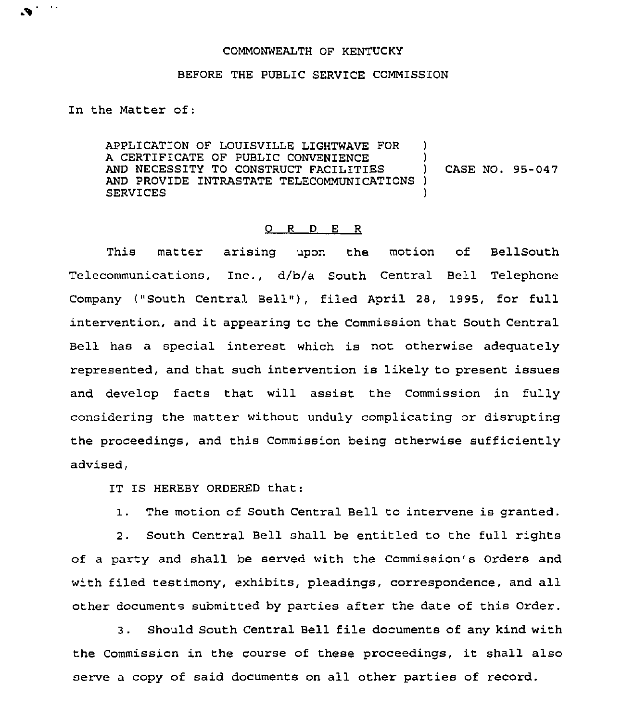## COMMONWEALTH OF KENTUCKY

## BEFORE THE PUBLIC SERVICE COMMISSION

In the Matter of:

 $\bullet$ 

APPLICATION OF LOUISVILLE LIGHTWAVE FOR ) A CERTIFICATE OF PUBLIC CONVENIENCE (3) AND NECESSITY TO CONSTRUCT FACILITIES AND PROVIDE INTRASTATE TELECOMMUNICATIONS ) **SERVICES** CASE NO. 95-047

## 0 R <sup>D</sup> E R

This matter arising upon the motion of BellSouth Telecommunications, Inc., d/b/a South Central Bell Telephone Company ("South Central Bell"), filed April 28, 1995, for full intervention, and it appearing to the Commission that South Central Bell has a special interest which is not otherwise adequately represented, and that such intervention is likely to present issues and develop facts that will assist the Commission in fully considering the matter without unduly complicating or disrupting the proceedings, and this Commission being otherwise sufficiently advised,

IT IS HEREBY ORDERED that:

1. The motion of South Central Bell to intervene is granted.

2. South Central Bell shall be entitled to the full rights of a party and shall be served with the Commission's Orders and with filed testimony, exhibits, pleadings, correspondence, and all other documents submitted by parties after the date of this Order.

3. Should South Central Bell file documents of any kind with the Commission in the course of these proceedings, it shall also serve a copy of said documents on all other parties of record.